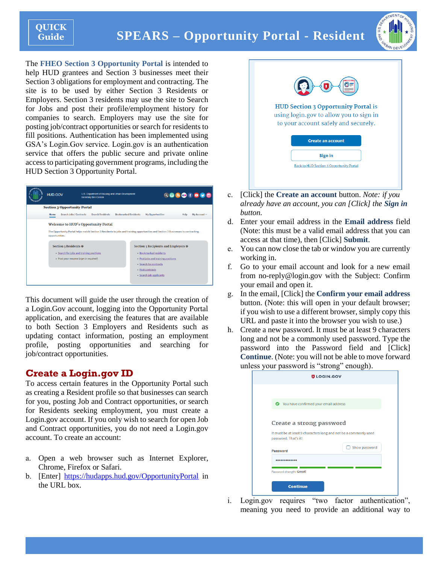# **SPEARS – Opportunity Portal - Resident**



The **FHEO Section 3 Opportunity Portal** is intended to help HUD grantees and Section 3 businesses meet their Section 3 obligations for employment and contracting. The site is to be used by either Section 3 Residents or Employers. Section 3 residents may use the site to Search for Jobs and post their profile/employment history for companies to search. Employers may use the site for posting job/contract opportunities or search for residents to fill positions. Authentication has been implemented using GSA's Login.Gov service. Login.gov is an authentication service that offers the public secure and private online access to participating government programs, including the HUD Section 3 Opportunity Portal.



This document will guide the user through the creation of a Login.Gov account, logging into the Opportunity Portal application, and exercising the features that are available to both Section 3 Employers and Residents such as updating contact information, posting an employment profile, posting opportunities and searching for job/contract opportunities.

# **Create a Login.gov ID**

To access certain features in the Opportunity Portal such as creating a Resident profile so that businesses can search for you, posting Job and Contract opportunities, or search for Residents seeking employment, you must create a Login.gov account. If you only wish to search for open Job and Contract opportunities, you do not need a Login.gov account. To create an account:

- a. Open a web browser such as Internet Explorer, Chrome, Firefox or Safari.
- b. [Enter] <https://hudapps.hud.gov/OpportunityPortal> in the URL box.



- c. [Click] the **Create an account** button. *Note: if you already have an account, you can [Click] the Sign in button.*
- d. Enter your email address in the **Email address** field (Note: this must be a valid email address that you can access at that time), then [Click] **Submit**.
- e. You can now close the tab or window you are currently working in.
- f. Go to your email account and look for a new email from no-reply@login.gov with the Subject: Confirm your email and open it.
- g. In the email, [Click] the **Confirm your email address** button. (Note: this will open in your default browser; if you wish to use a different browser, simply copy this URL and paste it into the browser you wish to use.)
- h. Create a new password. It must be at least 9 characters long and not be a commonly used password. Type the password into the Password field and [Click] **Continue**. (Note: you will not be able to move forward unless your password is "strong" enough).

|                      | <b>ULOGIN.GOV</b>                                                |               |
|----------------------|------------------------------------------------------------------|---------------|
|                      |                                                                  |               |
|                      |                                                                  |               |
|                      | You have confirmed your email address                            |               |
|                      | Create a strong password                                         |               |
| password. That's it! | It must be at least 9 characters long and not be a commonly used |               |
| <b>Password</b>      |                                                                  | Show password |
|                      |                                                                  |               |
|                      |                                                                  |               |

i. Login.gov requires "two factor authentication", meaning you need to provide an additional way to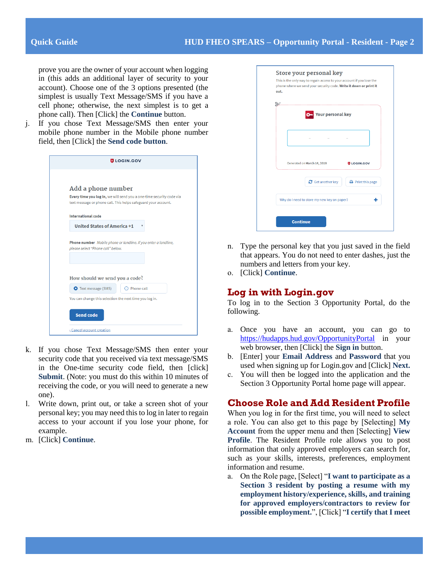prove you are the owner of your account when logging in (this adds an additional layer of security to your account). Choose one of the 3 options presented (the simplest is usually Text Message/SMS if you have a cell phone; otherwise, the next simplest is to get a phone call). Then [Click] the **Continue** button.

j. If you chose Text Message/SMS then enter your mobile phone number in the Mobile phone number field, then [Click] the **Send code button**.

| <b>ULOGIN.GOV</b>                                                    |  |
|----------------------------------------------------------------------|--|
|                                                                      |  |
| Add a phone number                                                   |  |
| Every time you log in, we will send you a one-time security code via |  |
| text message or phone call. This helps safeguard your account.       |  |
| <b>International code</b>                                            |  |
| <b>United States of America +1</b>                                   |  |
|                                                                      |  |
| Phone number Mobile phone or landline. If you enter a landline,      |  |
| please select "Phone call" below.                                    |  |
|                                                                      |  |
|                                                                      |  |
| How should we send you a code?                                       |  |
| <b>O</b> Text message (SMS)<br>Phone call                            |  |
| You can change this selection the next time you log in.              |  |
|                                                                      |  |
| <b>Send code</b>                                                     |  |
|                                                                      |  |

- k. If you chose Text Message/SMS then enter your security code that you received via text message/SMS in the One-time security code field, then [click] **Submit**. (Note: you must do this within 10 minutes of receiving the code, or you will need to generate a new one).
- l. Write down, print out, or take a screen shot of your personal key; you may need this to log in later to regain access to your account if you lose your phone, for example.
- m. [Click] **Continue**.

| <b>Your personal key</b>                    |                               |
|---------------------------------------------|-------------------------------|
|                                             |                               |
| Generated on March 14, 2018                 | <b>ULOGIN.GOV</b>             |
| $\mathbf C$ Get another key                 | $\rightarrow$ Print this page |
| Why do I need to store my new key on paper? |                               |

- n. Type the personal key that you just saved in the field that appears. You do not need to enter dashes, just the numbers and letters from your key.
- o. [Click] **Continue**.

# **Log in with Login.gov**

To log in to the Section 3 Opportunity Portal, do the following.

- a. Once you have an account, you can go to <https://hudapps.hud.gov/OpportunityPortal> in your web browser, then [Click] the **Sign in** button.
- b. [Enter] your **Email Address** and **Password** that you used when signing up for Login.gov and [Click] **Next.**
- c. You will then be logged into the application and the Section 3 Opportunity Portal home page will appear.

# **Choose Role and Add Resident Profile**

When you log in for the first time, you will need to select a role. You can also get to this page by [Selecting] **My Account** from the upper menu and then [Selecting] **View Profile**. The Resident Profile role allows you to post information that only approved employers can search for, such as your skills, interests, preferences, employment information and resume.

a. On the Role page, [Select] "**I want to participate as a Section 3 resident by posting a resume with my employment history/experience, skills, and training for approved employers/contractors to review for possible employment.**", [Click] "**I certify that I meet**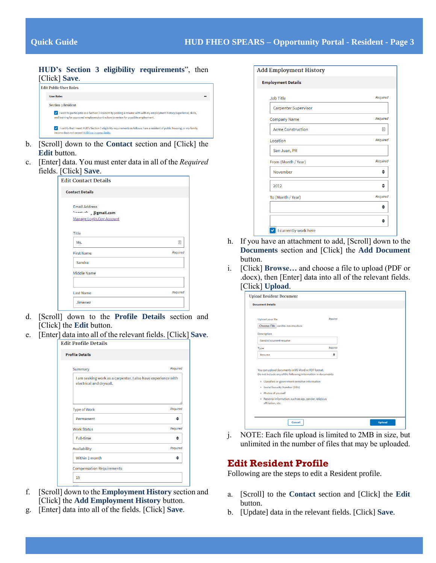#### **HUD's Section 3 eligibility requirements**", then [Click] **Save**.



- b. [Scroll] down to the **Contact** section and [Click] the **Edit** button.
- c. [Enter] data. You must enter data in all of the *Required* fields. [Click] **Save**.

| <b>Edit Contact Details</b>                                                    |          |
|--------------------------------------------------------------------------------|----------|
| <b>Contact Details</b>                                                         |          |
| <b>Email Address</b><br><b>Septimal Demail.com</b><br>Manage Login.Gov Account |          |
| Title<br>Ms.                                                                   | 国        |
| <b>First Name</b>                                                              | Required |
| Sandra                                                                         |          |
| Middle Name                                                                    |          |
| <b>Last Name</b>                                                               | Required |
| Jimenez                                                                        |          |

- d. [Scroll] down to the **Profile Details** section and [Click] the **Edit** button.
- e. [Enter] data into all of the relevant fields. [Click] **Save**.

| <b>Edit Profile Details</b>                                                              |          |
|------------------------------------------------------------------------------------------|----------|
| <b>Profile Details</b>                                                                   |          |
| Summary                                                                                  | Required |
| I am seeking work as a carpenter. I also have experience with<br>electrical and drywall. |          |
| <b>Type of Work</b>                                                                      | Required |
| Permanent                                                                                |          |
| <b>Work Status</b>                                                                       | Required |
| <b>Full-time</b>                                                                         |          |
| Availability                                                                             | Required |
| Within 1 month                                                                           | ≜        |
|                                                                                          |          |
| <b>Compensation Requirements</b>                                                         |          |

- f. [Scroll] down to the **Employment History** section and [Click] the **Add Employment History** button.
- g. [Enter] data into all of the fields. [Click] **Save**.

| <b>Add Employment History</b> |          |
|-------------------------------|----------|
| <b>Employment Details</b>     |          |
| <b>Job Title</b>              | Required |
| <b>Carpenter Supervisor</b>   |          |
| <b>Company Name</b>           | Required |
| <b>Acme Construction</b>      | 固        |
| Location                      | Required |
| San Juan, PR                  |          |
| From (Month / Year)           | Required |
| November                      | ٠        |
| 2012                          |          |
| To (Month / Year)             | Required |
|                               | ٠        |
|                               | ≜        |

- h. If you have an attachment to add, [Scroll] down to the **Documents** section and [Click] the **Add Document** button.
- i. [Click] **Browse…** and choose a file to upload (PDF or .docx), then [Enter] data into all of the relevant fields. [Click] **Upload**.

| <b>Upload Resident Document</b>                                                                                     |          |
|---------------------------------------------------------------------------------------------------------------------|----------|
| <b>Document Details</b>                                                                                             |          |
|                                                                                                                     |          |
| Upload your file                                                                                                    | Regulted |
| Choose File sandra-resume.docx                                                                                      |          |
| Description                                                                                                         |          |
| Sandra's current resume                                                                                             |          |
| Type                                                                                                                | Regulred |
| Resume                                                                                                              | ٠        |
| You can upload documents in MS Word or PDF format.<br>Do not include any of the following information in documents: |          |
| o Classified or government sensitive information                                                                    |          |
| o Social Security Number (SSN)                                                                                      |          |
| o Photos of yourself                                                                                                |          |
| o Personal information, such as age, gender, religious<br>affiliation, etc.                                         |          |
|                                                                                                                     |          |

j. NOTE: Each file upload is limited to 2MB in size, but unlimited in the number of files that may be uploaded.

# **Edit Resident Profile**

Following are the steps to edit a Resident profile.

- a. [Scroll] to the **Contact** section and [Click] the **Edit** button.
- b. [Update] data in the relevant fields. [Click] **Save**.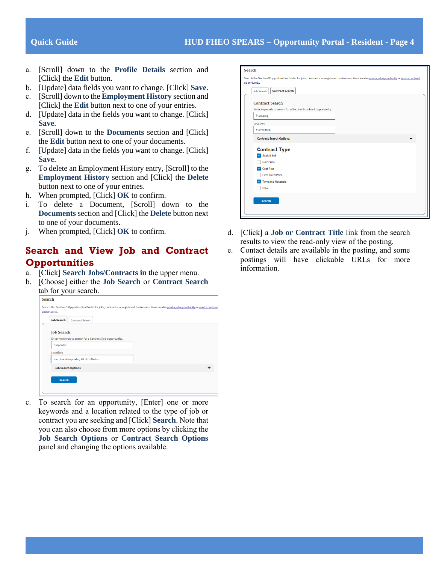- a. [Scroll] down to the **Profile Details** section and [Click] the **Edit** button.
- b. [Update] data fields you want to change. [Click] **Save**.
- c. [Scroll] down to the **Employment History** section and [Click] the **Edit** button next to one of your entries.
- d. [Update] data in the fields you want to change. [Click] **Save**.
- e. [Scroll] down to the **Documents** section and [Click] the **Edit** button next to one of your documents.
- f. [Update] data in the fields you want to change. [Click] **Save**.
- g. To delete an Employment History entry, [Scroll] to the **Employment History** section and [Click] the **Delete** button next to one of your entries.
- h. When prompted, [Click] **OK** to confirm.
- i. To delete a Document, [Scroll] down to the **Documents** section and [Click] the **Delete** button next to one of your documents.
- j. When prompted, [Click] **OK** to confirm.

# **Search and View Job and Contract Opportunities**

- a. [Click] **Search Jobs/Contracts in** the upper menu.
- b. [Choose] either the **Job Search** or **Contract Search** tab for your search.

| Enter keywords to search for a Section 3 job opportunity.<br>San Juan-Guaynabo, PR HUD Metro |  |
|----------------------------------------------------------------------------------------------|--|

c. To search for an opportunity, [Enter] one or more keywords and a location related to the type of job or contract you are seeking and [Click] **Search**. Note that you can also choose from more options by clicking the **Job Search Options** or **Contract Search Options** panel and changing the options available.

| Search                                                                                                                                                          |
|-----------------------------------------------------------------------------------------------------------------------------------------------------------------|
| Search the Section 3 Opportunities Portal for jobs, contracts, or registered businesses. You can also post a job opportunity or post a contract<br>opportunity. |
| <b>Contract Search</b><br>Job Search                                                                                                                            |
| <b>Contract Search</b>                                                                                                                                          |
| Enter keywords to search for a Section 3 contract opportunity.                                                                                                  |
| Plumbing                                                                                                                                                        |
| Location:                                                                                                                                                       |
| <b>Puerto Rico</b>                                                                                                                                              |
| <b>Contract Search Options</b>                                                                                                                                  |
| <b>Contract Type</b>                                                                                                                                            |
| Sealed-bid                                                                                                                                                      |
| <b>Unit Price</b>                                                                                                                                               |
| <b>Cost Plus</b><br>v                                                                                                                                           |
| <b>Firm Fixed Price</b>                                                                                                                                         |
| <b>Time and Materials</b>                                                                                                                                       |
| Other                                                                                                                                                           |
|                                                                                                                                                                 |
| <b>Search</b>                                                                                                                                                   |
|                                                                                                                                                                 |
|                                                                                                                                                                 |

- d. [Click] a **Job or Contract Title** link from the search results to view the read-only view of the posting.
- e. Contact details are available in the posting, and some postings will have clickable URLs for more information.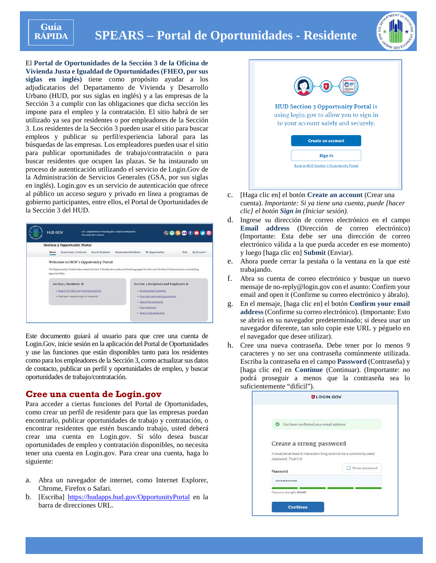

# **SPEARS – Portal de Oportunidades - Residente**



El **Portal de Oportunidades de la Sección 3 de la Oficina de Vivienda Justa e Igualdad de Oportunidades (FHEO, por sus siglas en inglés)** tiene como propósito ayudar a los adjudicatarios del Departamento de Vivienda y Desarrollo Urbano (HUD, por sus siglas en inglés) y a las empresas de la Sección 3 a cumplir con las obligaciones que dicha sección les impone para el empleo y la contratación. El sitio habrá de ser utilizado ya sea por residentes o por empleadores de la Sección 3. Los residentes de la Sección 3 pueden usar el sitio para buscar empleos y publicar su perfil/experiencia laboral para las búsquedas de las empresas. Los empleadores pueden usar el sitio para publicar oportunidades de trabajo/contratación o para buscar residentes que ocupen las plazas. Se ha instaurado un proceso de autenticación utilizando el servicio de Login.Gov de la Administración de Servicios Generales (GSA, por sus siglas en inglés). Login.gov es un servicio de autenticación que ofrece al público un acceso seguro y privado en línea a programas de gobierno participantes, entre ellos, el Portal de Oportunidades de la Sección 3 del HUD.



Este documento guiará al usuario para que cree una cuenta de Login.Gov, inicie sesión en la aplicación del Portal de Oportunidades y use las funciones que están disponibles tanto para los residentes como para los empleadores de la Sección 3, como actualizar sus datos de contacto, publicar un perfil y oportunidades de empleo, y buscar oportunidades de trabajo/contratación.

### **Cree una cuenta de Login.gov**

Para acceder a ciertas funciones del Portal de Oportunidades, como crear un perfil de residente para que las empresas puedan encontrarlo, publicar oportunidades de trabajo y contratación, o encontrar residentes que estén buscando trabajo, usted deberá crear una cuenta en Login.gov. Si sólo desea buscar oportunidades de empleo y contratación disponibles, no necesita tener una cuenta en Login.gov. Para crear una cuenta, haga lo siguiente:

- a. Abra un navegador de internet, como Internet Explorer, Chrome, Firefox o Safari.
- b. [Escriba] https://hudapps.hud.gov/OpportunityPortal en la barra de direcciones URL.



- c. [Haga clic en] el botón **Create an account** (Crear una cuenta). *Importante: Si ya tiene una cuenta, puede [hacer clic] el botón Sign in (Iniciar sesión).*
- d. Ingrese su dirección de correo electrónico en el campo **Email address** (Dirección de correo electrónico) (Importante: Esta debe ser una dirección de correo electrónico válida a la que pueda acceder en ese momento) y luego [haga clic en] **Submit** (Enviar).
- e. Ahora puede cerrar la pestaña o la ventana en la que esté trabajando.
- f. Abra su cuenta de correo electrónico y busque un nuevo mensaje de no-reply@login.gov con el asunto: Confirm your email and open it (Confirme su correo electrónico y ábralo).
- g. En el mensaje, [haga clic en] el botón **Confirm your email address**(Confirme su correo electrónico). (Importante: Esto se abrirá en su navegador predeterminado; si desea usar un navegador diferente, tan solo copie este URL y péguelo en el navegador que desee utilizar).
- h. Cree una nueva contraseña. Debe tener por lo menos 9 caracteres y no ser una contraseña comúnmente utilizada. Escriba la contraseña en el campo **Password** (Contraseña) y [haga clic en] en **Continue** (Continuar). (Importante: no podrá proseguir a menos que la contraseña sea lo suficientemente "difícil").

|                                                                                                                      | <b>ULOGIN.GOV</b> |
|----------------------------------------------------------------------------------------------------------------------|-------------------|
| You have confirmed your email address<br>◓                                                                           |                   |
| Create a strong password<br>It must be at least 9 characters long and not be a commonly used<br>password. That's it! |                   |
| Password                                                                                                             | Show password     |
|                                                                                                                      |                   |
| Password strength: Great!<br><b>Continue</b>                                                                         |                   |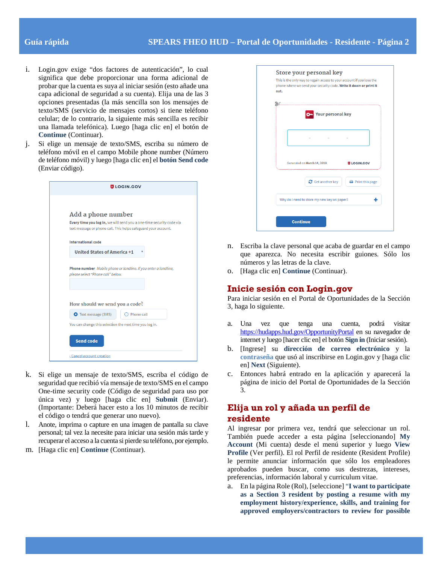- i. Login.gov exige "dos factores de autenticación", lo cual significa que debe proporcionar una forma adicional de probar que la cuenta es suya al iniciar sesión (esto añade una capa adicional de seguridad a su cuenta). Elija una de las 3 opciones presentadas (la más sencilla son los mensajes de texto/SMS (servicio de mensajes cortos) si tiene teléfono celular; de lo contrario, la siguiente más sencilla es recibir una llamada telefónica). Luego [haga clic en] el botón de **Continue** (Continuar).
- j. Si elige un mensaje de texto/SMS, escriba su número de teléfono móvil en el campo Mobile phone number (Número de teléfono móvil) y luego [haga clic en] el **botón Send code** (Enviar código).

| <b>ULOGIN.GOV</b>                                                                                                                      |  |
|----------------------------------------------------------------------------------------------------------------------------------------|--|
|                                                                                                                                        |  |
| Add a phone number                                                                                                                     |  |
| Every time you log in, we will send you a one-time security code via<br>text message or phone call. This helps safeguard your account. |  |
| <b>International code</b>                                                                                                              |  |
| <b>United States of America +1</b>                                                                                                     |  |
| Phone number Mobile phone or landline. If you enter a landline,<br>please select "Phone call" below.                                   |  |
| How should we send you a code?                                                                                                         |  |
| <b>O</b> Text message (SMS)<br>Phone call                                                                                              |  |
| You can change this selection the next time you log in.                                                                                |  |
| <b>Send code</b>                                                                                                                       |  |
| « Cancel account creation                                                                                                              |  |

- k. Si elige un mensaje de texto/SMS, escriba el código de seguridad que recibió vía mensaje de texto/SMS en el campo One-time security code (Código de seguridad para uso por única vez) y luego [haga clic en] **Submit** (Enviar). (Importante: Deberá hacer esto a los 10 minutos de recibir el código o tendrá que generar uno nuevo).
- l. Anote, imprima o capture en una imagen de pantalla su clave personal; tal vez la necesite para iniciar una sesión más tarde y recuperar el acceso a la cuenta si pierde su teléfono, por ejemplo.
- m. [Haga clic en] **Continue** (Continuar).

| out. | This is the only way to regain access to your account if you lose the<br>phone where we send your security code. Write it down or print it |                               |
|------|--------------------------------------------------------------------------------------------------------------------------------------------|-------------------------------|
|      |                                                                                                                                            |                               |
|      | <b>Your personal key</b>                                                                                                                   |                               |
|      |                                                                                                                                            |                               |
|      | Generated on March 14, 2018                                                                                                                | <b>D</b> LOGIN.GOV            |
|      | $\mathbf C$ Get another key                                                                                                                | $\rightarrow$ Print this page |
|      | Why do I need to store my new key on paper?                                                                                                |                               |

- n. Escriba la clave personal que acaba de guardar en el campo que aparezca. No necesita escribir guiones. Sólo los números y las letras de la clave.
- o. [Haga clic en] **Continue** (Continuar).

# **Inicie sesión con Login.gov**

Para iniciar sesión en el Portal de Oportunidades de la Sección 3, haga lo siguiente.

- a. Una vez que tenga una cuenta, podrá visitar <https://hudapps.hud.gov/OpportunityPortal> en su navegador de internet y luego [hacer clic en] el botón **Sign in** (Iniciar sesión).
- b. [Ingrese] su **dirección de correo electrónico** y la **contraseña** que usó al inscribirse en Login.gov y [haga clic en] **Next** (Siguiente).
- c. Entonces habrá entrado en la aplicación y aparecerá la página de inicio del Portal de Oportunidades de la Sección 3.

# **Elija un rol y añada un perfil de residente**

Al ingresar por primera vez, tendrá que seleccionar un rol. También puede acceder a esta página [seleccionando] **My Account** (Mi cuenta) desde el menú superior y luego **View Profile** (Ver perfil). El rol Perfil de residente (Resident Profile) le permite anunciar información que sólo los empleadores aprobados pueden buscar, como sus destrezas, intereses, preferencias, información laboral y curriculum vitae.

a. En la página Role (Rol), [seleccione] "**I want to participate as a Section 3 resident by posting a resume with my employment history/experience, skills, and training for approved employers/contractors to review for possible**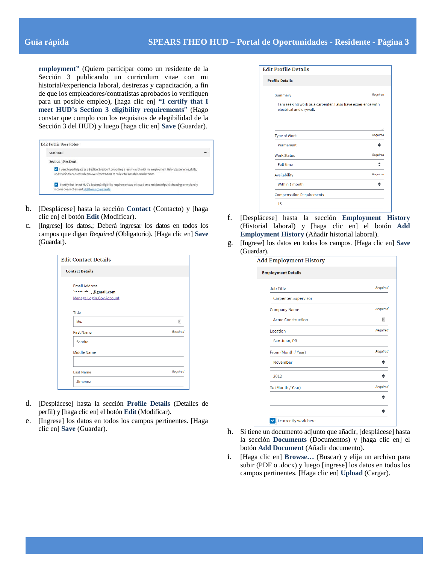**employment"** (Quiero participar como un residente de la Sección 3 publicando un curriculum vitae con mi historial/experiencia laboral, destrezas y capacitación, a fin de que los empleadores/contratistas aprobados lo verifiquen para un posible empleo), [haga clic en] **"I certify that I meet HUD's Section 3 eligibility requirements**" (Hago constar que cumplo con los requisitos de elegibilidad de la Sección 3 del HUD) y luego [haga clic en] **Save** (Guardar).

| <b>Edit Public User Roles</b> |                                                                                                                                                                                                             |
|-------------------------------|-------------------------------------------------------------------------------------------------------------------------------------------------------------------------------------------------------------|
| <b>User Roles</b>             |                                                                                                                                                                                                             |
| Section 3 Resident            |                                                                                                                                                                                                             |
|                               | I want to participate as a Section 3 resident by posting a resume with with my employment history/experience, skills,<br>and training for approved employers/contractors to review for possible employment. |
|                               | I certify that I meet HUD's Section 3 eligibility requirements as follows: I am a resident of public housing; or my family<br>income does not exceed HUD low income limits.                                 |

- b. [Desplácese] hasta la sección **Contact** (Contacto) y [haga clic en] el botón **Edit** (Modificar).
- c. [Ingrese] los datos.; Deberá ingresar los datos en todos los campos que digan *Required* (Obligatorio). [Haga clic en] **Save** (Guardar).

| <b>Edit Contact Details</b>                                               |          |
|---------------------------------------------------------------------------|----------|
| <b>Contact Details</b>                                                    |          |
| <b>Email Address</b><br>hose-thing @gmail.com<br>Manage Login.Gov Account |          |
| <b>Title</b>                                                              |          |
| Ms.                                                                       | 固        |
| <b>First Name</b>                                                         | Required |
| Sandra                                                                    |          |
| <b>Middle Name</b>                                                        |          |
| <b>Last Name</b>                                                          | Required |
| Jimenez                                                                   |          |

- d. [Desplácese] hasta la sección **Profile Details** (Detalles de perfil) y [haga clic en] el botón **Edit** (Modificar).
- e. [Ingrese] los datos en todos los campos pertinentes. [Haga clic en] **Save** (Guardar).

| <b>Edit Profile Details</b>                                                              |          |
|------------------------------------------------------------------------------------------|----------|
| <b>Profile Details</b>                                                                   |          |
| Summary                                                                                  | Required |
| I am seeking work as a carpenter. I also have experience with<br>electrical and drywall. |          |
| <b>Type of Work</b>                                                                      | Required |
| Permanent                                                                                | ≜        |
| <b>Work Status</b>                                                                       | Required |
| <b>Full-time</b>                                                                         | ≜        |
| <b>Availability</b>                                                                      | Required |
| Within 1 month                                                                           | ≜        |
| <b>Compensation Requirements</b>                                                         |          |
| 15                                                                                       |          |

- f. [Desplácese] hasta la sección **Employment History** (Historial laboral) y [haga clic en] el botón **Add Employment History** (Añadir historial laboral).
- g. [Ingrese] los datos en todos los campos. [Haga clic en] **Save** (Guardar).

A

| <b>Employment Details</b>   |          |
|-----------------------------|----------|
| <b>Job Title</b>            | Required |
| <b>Carpenter Supervisor</b> |          |
| <b>Company Name</b>         | Required |
| <b>Acme Construction</b>    | 固        |
| Location                    | Required |
| San Juan, PR                |          |
| From (Month / Year)         | Required |
| November                    |          |
| 2012                        |          |
| To (Month / Year)           | Required |
|                             | ≜        |
|                             |          |

- h. Si tiene un documento adjunto que añadir, [desplácese] hasta la sección **Documents** (Documentos) y [haga clic en] el botón **Add Document** (Añadir documento).
- i. [Haga clic en] **Browse…** (Buscar) y elija un archivo para subir (PDF o .docx) y luego [ingrese] los datos en todos los campos pertinentes. [Haga clic en] **Upload** (Cargar).